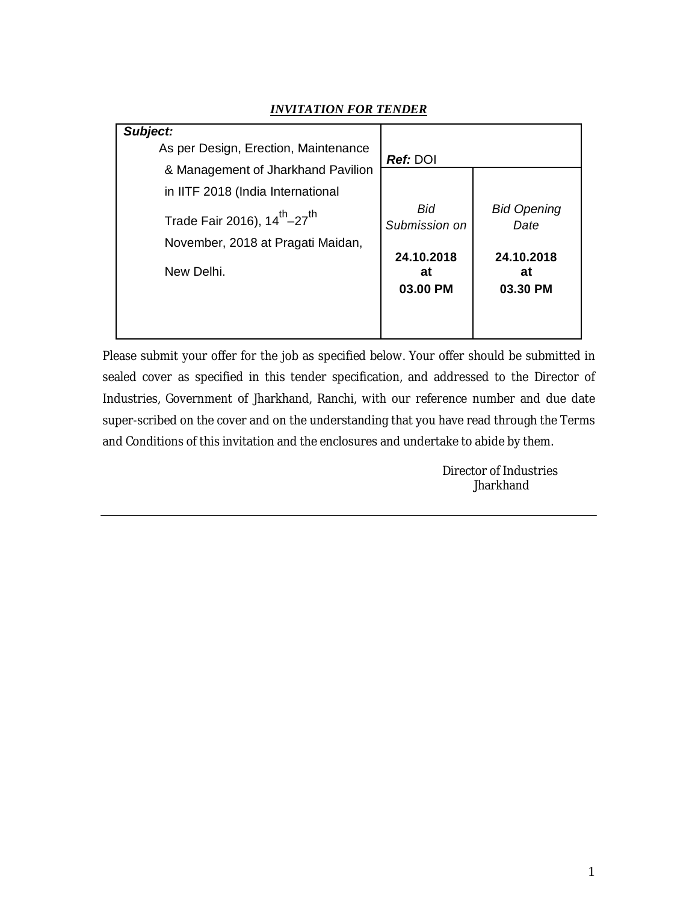| Subject:                                             |                              |                              |
|------------------------------------------------------|------------------------------|------------------------------|
| As per Design, Erection, Maintenance                 | <b>Ref: DOI</b>              |                              |
| & Management of Jharkhand Pavilion                   |                              |                              |
| in IITF 2018 (India International                    |                              |                              |
| Trade Fair 2016), 14 <sup>th</sup> -27 <sup>th</sup> | Bid<br>Submission on         | <b>Bid Opening</b><br>Date   |
| November, 2018 at Pragati Maidan,                    |                              |                              |
| New Delhi.                                           | 24.10.2018<br>at<br>03.00 PM | 24.10.2018<br>at<br>03.30 PM |

## *INVITATION FOR TENDER*

Please submit your offer for the job as specified below. Your offer should be submitted in sealed cover as specified in this tender specification, and addressed to the Director of Industries, Government of Jharkhand, Ranchi, with our reference number and due date super-scribed on the cover and on the understanding that you have read through the Terms and Conditions of this invitation and the enclosures and undertake to abide by them.

> Director of Industries Jharkhand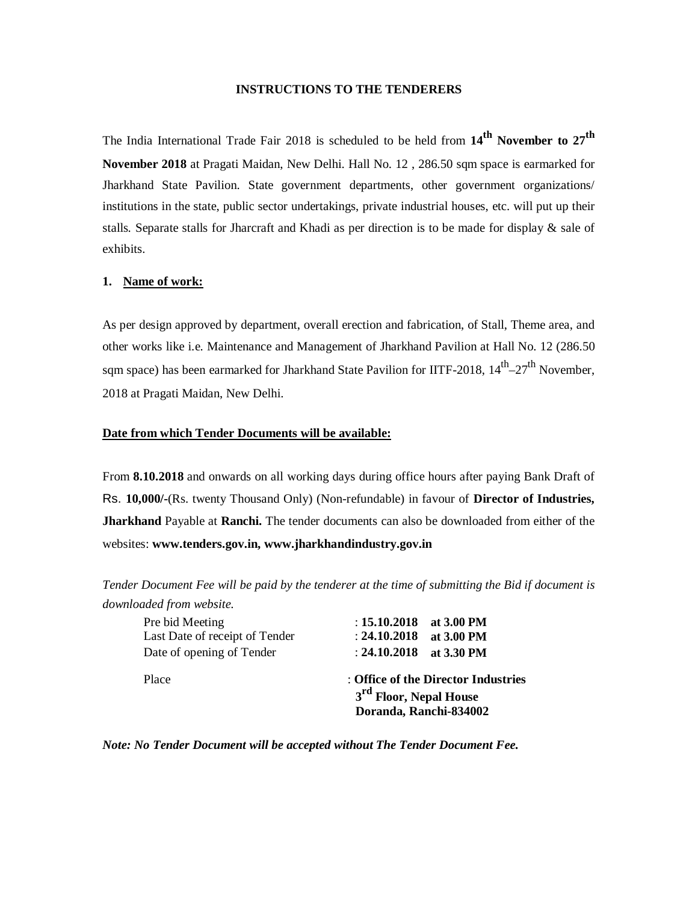#### **INSTRUCTIONS TO THE TENDERERS**

The India International Trade Fair 2018 is scheduled to be held from **14th November to 27th November 2018** at Pragati Maidan, New Delhi. Hall No. 12 , 286.50 sqm space is earmarked for Jharkhand State Pavilion. State government departments, other government organizations/ institutions in the state, public sector undertakings, private industrial houses, etc. will put up their stalls*.* Separate stalls for Jharcraft and Khadi as per direction is to be made for display & sale of exhibits.

## **1. Name of work:**

As per design approved by department, overall erection and fabrication, of Stall, Theme area, and other works like i.e. Maintenance and Management of Jharkhand Pavilion at Hall No. 12 (286.50 sqm space) has been earmarked for Jharkhand State Pavilion for IITF-2018,  $14^{\text{th}} - 27^{\text{th}}$  November, 2018 at Pragati Maidan, New Delhi.

#### **Date from which Tender Documents will be available:**

From **8.10.2018** and onwards on all working days during office hours after paying Bank Draft of Rs. **10,000/-**(Rs. twenty Thousand Only) (Non-refundable) in favour of **Director of Industries, Jharkhand** Payable at **Ranchi.** The tender documents can also be downloaded from either of the websites: **www.tenders.gov.in, www.jharkhandindustry.gov.in**

*Tender Document Fee will be paid by the tenderer at the time of submitting the Bid if document is downloaded from website.*

| Place                                             | : Office of the Director Industries<br>3 <sup>rd</sup> Floor, Nepal House<br>Doranda, Ranchi-834002 |
|---------------------------------------------------|-----------------------------------------------------------------------------------------------------|
| Date of opening of Tender                         | : $24.10.2018$ at 3.30 PM                                                                           |
| Pre bid Meeting<br>Last Date of receipt of Tender | : $15.10.2018$ at 3.00 PM<br>: $24.10.2018$ at 3.00 PM                                              |
|                                                   |                                                                                                     |

*Note: No Tender Document will be accepted without The Tender Document Fee.*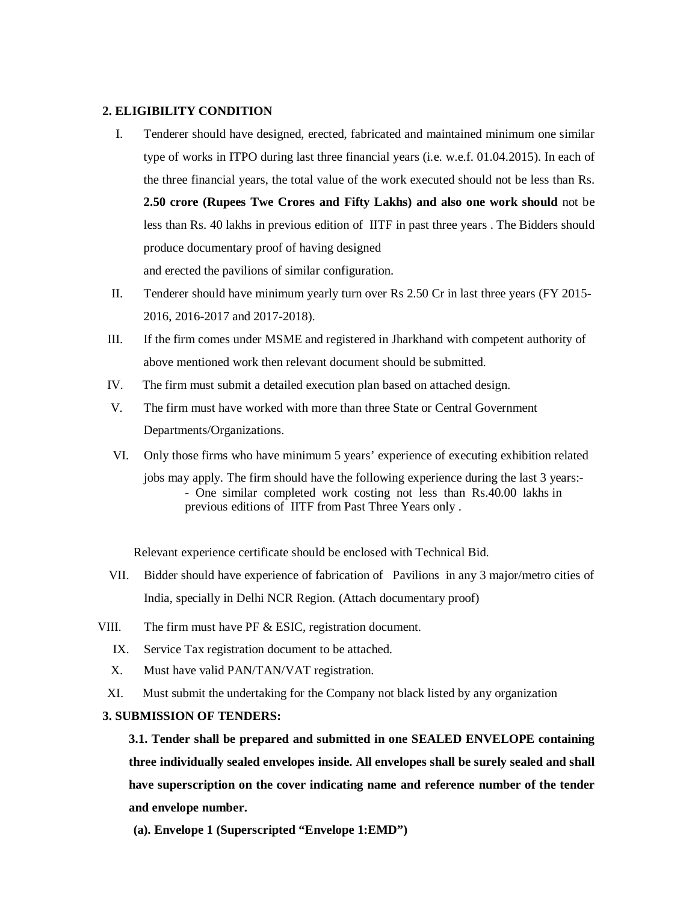#### **2. ELIGIBILITY CONDITION**

- I. Tenderer should have designed, erected, fabricated and maintained minimum one similar type of works in ITPO during last three financial years (i.e. w.e.f. 01.04.2015). In each of the three financial years, the total value of the work executed should not be less than Rs. **2.50 crore (Rupees Twe Crores and Fifty Lakhs) and also one work should** not be less than Rs. 40 lakhs in previous edition of IITF in past three years . The Bidders should produce documentary proof of having designed and erected the pavilions of similar configuration.
- II. Tenderer should have minimum yearly turn over Rs 2.50 Cr in last three years (FY 2015- 2016, 2016-2017 and 2017-2018).
- III. If the firm comes under MSME and registered in Jharkhand with competent authority of above mentioned work then relevant document should be submitted.
- IV. The firm must submit a detailed execution plan based on attached design.
- V. The firm must have worked with more than three State or Central Government Departments/Organizations.
- VI. Only those firms who have minimum 5 years' experience of executing exhibition related jobs may apply. The firm should have the following experience during the last 3 years:-
	- One similar completed work costing not less than Rs.40.00 lakhs in previous editions of IITF from Past Three Years only .

Relevant experience certificate should be enclosed with Technical Bid.

- VII. Bidder should have experience of fabrication of Pavilions in any 3 major/metro cities of India, specially in Delhi NCR Region. (Attach documentary proof)
- VIII. The firm must have PF & ESIC, registration document.
	- IX. Service Tax registration document to be attached.
	- X. Must have valid PAN/TAN/VAT registration.
	- XI. Must submit the undertaking for the Company not black listed by any organization

## **3. SUBMISSION OF TENDERS:**

**3.1. Tender shall be prepared and submitted in one SEALED ENVELOPE containing three individually sealed envelopes inside. All envelopes shall be surely sealed and shall have superscription on the cover indicating name and reference number of the tender and envelope number.**

**(a). Envelope 1 (Superscripted "Envelope 1:EMD")**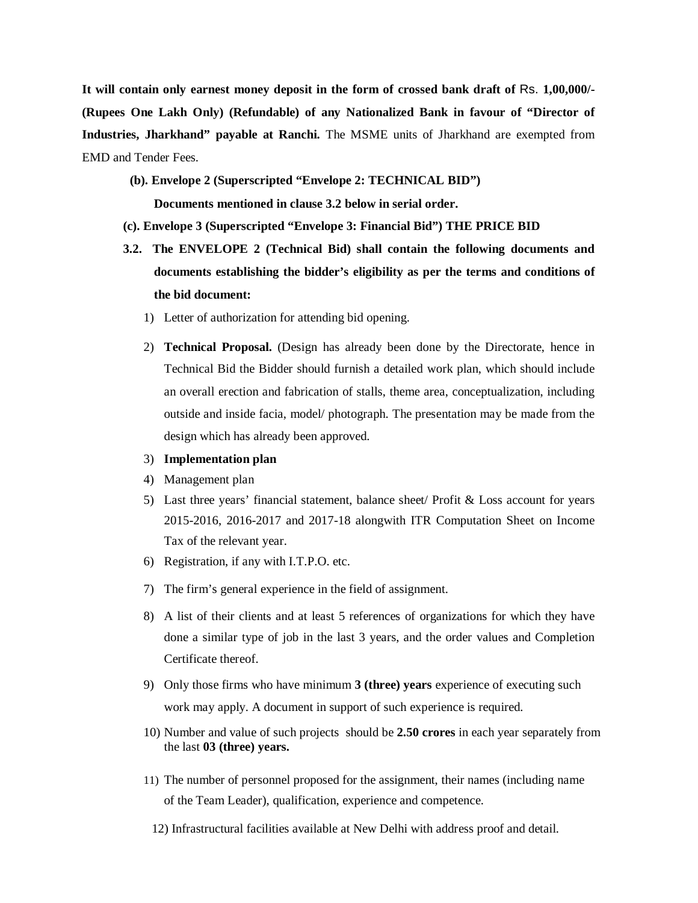**It will contain only earnest money deposit in the form of crossed bank draft of** Rs. **1,00,000/- (Rupees One Lakh Only) (Refundable) of any Nationalized Bank in favour of "Director of Industries, Jharkhand" payable at Ranchi.** The MSME units of Jharkhand are exempted from EMD and Tender Fees.

**(b). Envelope 2 (Superscripted "Envelope 2: TECHNICAL BID")**

**Documents mentioned in clause 3.2 below in serial order.**

#### **(c). Envelope 3 (Superscripted "Envelope 3: Financial Bid") THE PRICE BID**

- **3.2. The ENVELOPE 2 (Technical Bid) shall contain the following documents and documents establishing the bidder's eligibility as per the terms and conditions of the bid document:**
	- 1) Letter of authorization for attending bid opening.
	- 2) **Technical Proposal.** (Design has already been done by the Directorate, hence in Technical Bid the Bidder should furnish a detailed work plan, which should include an overall erection and fabrication of stalls, theme area, conceptualization, including outside and inside facia, model/ photograph. The presentation may be made from the design which has already been approved.
	- 3) **Implementation plan**
	- 4) Management plan
	- 5) Last three years' financial statement, balance sheet/ Profit & Loss account for years 2015-2016, 2016-2017 and 2017-18 alongwith ITR Computation Sheet on Income Tax of the relevant year.
	- 6) Registration, if any with I.T.P.O. etc.
	- 7) The firm's general experience in the field of assignment.
	- 8) A list of their clients and at least 5 references of organizations for which they have done a similar type of job in the last 3 years, and the order values and Completion Certificate thereof.
	- 9) Only those firms who have minimum **3 (three) years** experience of executing such work may apply. A document in support of such experience is required.
	- 10) Number and value of such projects should be **2.50 crores** in each year separately from the last **03 (three) years.**
	- 11) The number of personnel proposed for the assignment, their names (including name of the Team Leader), qualification, experience and competence.
	- 12) Infrastructural facilities available at New Delhi with address proof and detail.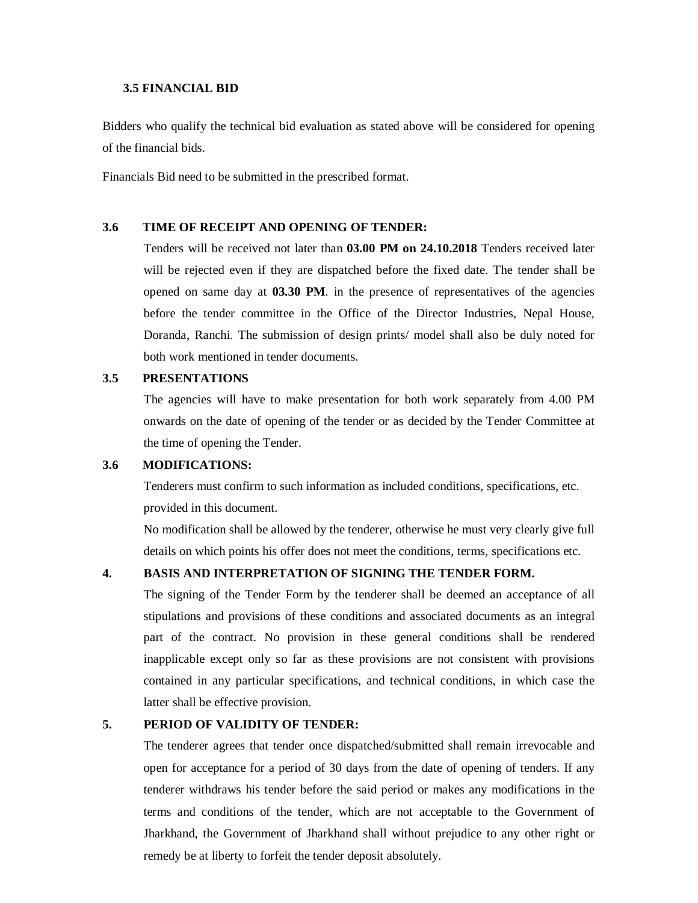## **3.5 FINANCIAL BID**

Bidders who qualify the technical bid evaluation as stated above will be considered for opening of the financial bids.

Financials Bid need to be submitted in the prescribed format.

## **3.6 TIME OF RECEIPT AND OPENING OF TENDER:**

Tenders will be received not later than **03.00 PM on 24.10.2018** Tenders received later will be rejected even if they are dispatched before the fixed date. The tender shall be opened on same day at **03.30 PM**. in the presence of representatives of the agencies before the tender committee in the Office of the Director Industries, Nepal House, Doranda, Ranchi. The submission of design prints/ model shall also be duly noted for both work mentioned in tender documents.

## **3.5 PRESENTATIONS**

The agencies will have to make presentation for both work separately from 4.00 PM onwards on the date of opening of the tender or as decided by the Tender Committee at the time of opening the Tender.

## **3.6 MODIFICATIONS:**

Tenderers must confirm to such information as included conditions, specifications, etc. provided in this document.

No modification shall be allowed by the tenderer, otherwise he must very clearly give full details on which points his offer does not meet the conditions, terms, specifications etc.

## **4. BASIS AND INTERPRETATION OF SIGNING THE TENDER FORM.**

The signing of the Tender Form by the tenderer shall be deemed an acceptance of all stipulations and provisions of these conditions and associated documents as an integral part of the contract. No provision in these general conditions shall be rendered inapplicable except only so far as these provisions are not consistent with provisions contained in any particular specifications, and technical conditions, in which case the latter shall be effective provision.

## **5. PERIOD OF VALIDITY OF TENDER:**

The tenderer agrees that tender once dispatched/submitted shall remain irrevocable and open for acceptance for a period of 30 days from the date of opening of tenders. If any tenderer withdraws his tender before the said period or makes any modifications in the terms and conditions of the tender, which are not acceptable to the Government of Jharkhand, the Government of Jharkhand shall without prejudice to any other right or remedy be at liberty to forfeit the tender deposit absolutely.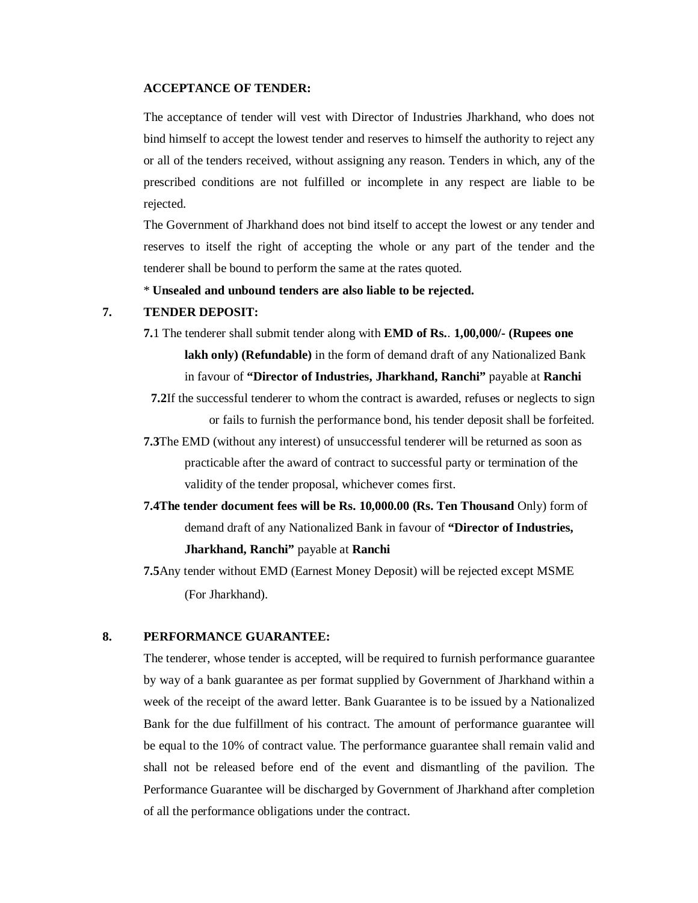## **ACCEPTANCE OF TENDER:**

The acceptance of tender will vest with Director of Industries Jharkhand, who does not bind himself to accept the lowest tender and reserves to himself the authority to reject any or all of the tenders received, without assigning any reason. Tenders in which, any of the prescribed conditions are not fulfilled or incomplete in any respect are liable to be rejected.

The Government of Jharkhand does not bind itself to accept the lowest or any tender and reserves to itself the right of accepting the whole or any part of the tender and the tenderer shall be bound to perform the same at the rates quoted.

\* **Unsealed and unbound tenders are also liable to be rejected.**

#### **7. TENDER DEPOSIT:**

- **7.**1 The tenderer shall submit tender along with **EMD of Rs.**. **1,00,000/- (Rupees one lakh only) (Refundable)** in the form of demand draft of any Nationalized Bank in favour of **"Director of Industries, Jharkhand, Ranchi"** payable at **Ranchi**
- **7.2**If the successful tenderer to whom the contract is awarded, refuses or neglects to sign or fails to furnish the performance bond, his tender deposit shall be forfeited.
- **7.3**The EMD (without any interest) of unsuccessful tenderer will be returned as soon as practicable after the award of contract to successful party or termination of the validity of the tender proposal, whichever comes first.
- **7.4The tender document fees will be Rs. 10,000.00 (Rs. Ten Thousand** Only) form of demand draft of any Nationalized Bank in favour of **"Director of Industries, Jharkhand, Ranchi"** payable at **Ranchi**
- **7.5**Any tender without EMD (Earnest Money Deposit) will be rejected except MSME (For Jharkhand).

## **8. PERFORMANCE GUARANTEE:**

The tenderer, whose tender is accepted, will be required to furnish performance guarantee by way of a bank guarantee as per format supplied by Government of Jharkhand within a week of the receipt of the award letter. Bank Guarantee is to be issued by a Nationalized Bank for the due fulfillment of his contract. The amount of performance guarantee will be equal to the 10% of contract value. The performance guarantee shall remain valid and shall not be released before end of the event and dismantling of the pavilion. The Performance Guarantee will be discharged by Government of Jharkhand after completion of all the performance obligations under the contract.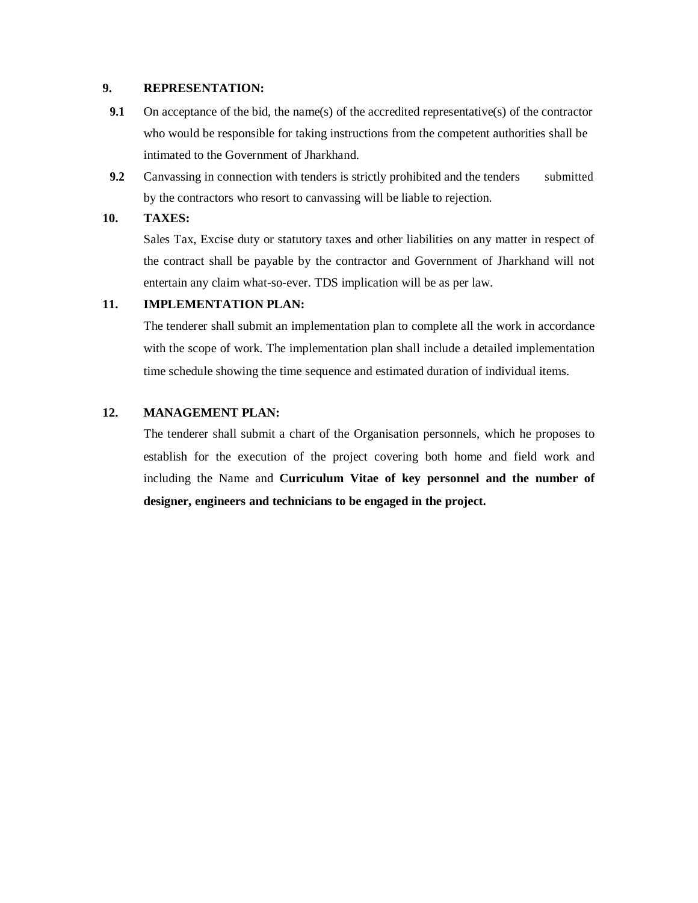## **9. REPRESENTATION:**

- **9.1** On acceptance of the bid, the name(s) of the accredited representative(s) of the contractor who would be responsible for taking instructions from the competent authorities shall be intimated to the Government of Jharkhand.
- **9.2** Canvassing in connection with tenders is strictly prohibited and the tenders submitted by the contractors who resort to canvassing will be liable to rejection.

#### **10. TAXES:**

Sales Tax, Excise duty or statutory taxes and other liabilities on any matter in respect of the contract shall be payable by the contractor and Government of Jharkhand will not entertain any claim what-so-ever. TDS implication will be as per law.

## **11. IMPLEMENTATION PLAN:**

The tenderer shall submit an implementation plan to complete all the work in accordance with the scope of work. The implementation plan shall include a detailed implementation time schedule showing the time sequence and estimated duration of individual items.

#### **12. MANAGEMENT PLAN:**

The tenderer shall submit a chart of the Organisation personnels, which he proposes to establish for the execution of the project covering both home and field work and including the Name and **Curriculum Vitae of key personnel and the number of designer, engineers and technicians to be engaged in the project.**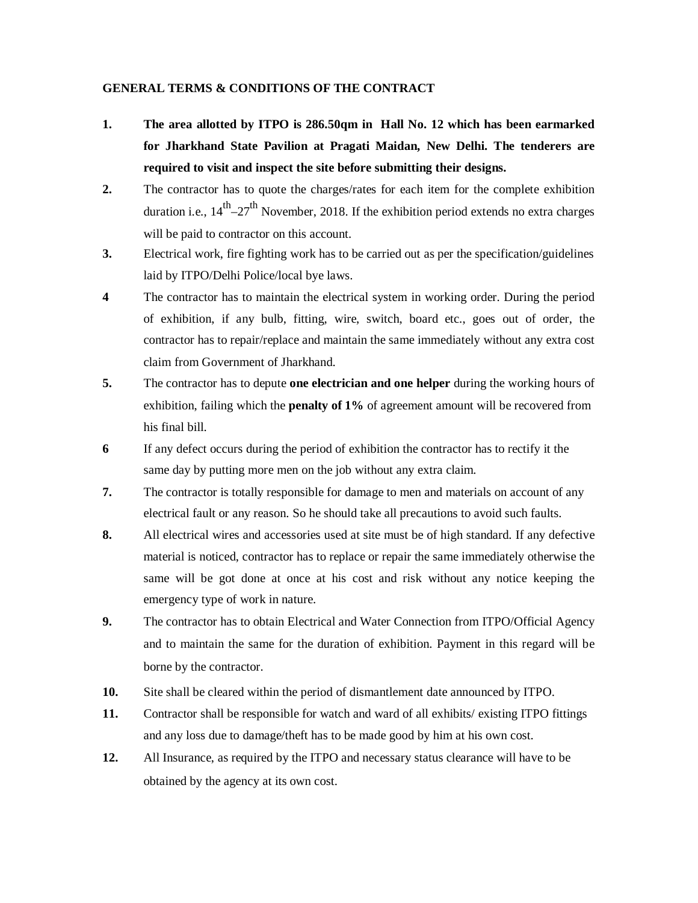## **GENERAL TERMS & CONDITIONS OF THE CONTRACT**

- **1. The area allotted by ITPO is 286.50qm in Hall No. 12 which has been earmarked for Jharkhand State Pavilion at Pragati Maidan, New Delhi. The tenderers are required to visit and inspect the site before submitting their designs.**
- **2.** The contractor has to quote the charges/rates for each item for the complete exhibition duration i.e.,  $14^{th}$ –27<sup>th</sup> November, 2018. If the exhibition period extends no extra charges will be paid to contractor on this account.
- **3.** Electrical work, fire fighting work has to be carried out as per the specification/guidelines laid by ITPO/Delhi Police/local bye laws.
- **4** The contractor has to maintain the electrical system in working order. During the period of exhibition, if any bulb, fitting, wire, switch, board etc., goes out of order, the contractor has to repair/replace and maintain the same immediately without any extra cost claim from Government of Jharkhand.
- **5.** The contractor has to depute **one electrician and one helper** during the working hours of exhibition, failing which the **penalty of 1%** of agreement amount will be recovered from his final bill.
- **6** If any defect occurs during the period of exhibition the contractor has to rectify it the same day by putting more men on the job without any extra claim.
- **7.** The contractor is totally responsible for damage to men and materials on account of any electrical fault or any reason. So he should take all precautions to avoid such faults.
- **8.** All electrical wires and accessories used at site must be of high standard. If any defective material is noticed, contractor has to replace or repair the same immediately otherwise the same will be got done at once at his cost and risk without any notice keeping the emergency type of work in nature.
- **9.** The contractor has to obtain Electrical and Water Connection from ITPO/Official Agency and to maintain the same for the duration of exhibition. Payment in this regard will be borne by the contractor.
- **10.** Site shall be cleared within the period of dismantlement date announced by ITPO.
- **11.** Contractor shall be responsible for watch and ward of all exhibits/ existing ITPO fittings and any loss due to damage/theft has to be made good by him at his own cost.
- **12.** All Insurance, as required by the ITPO and necessary status clearance will have to be obtained by the agency at its own cost.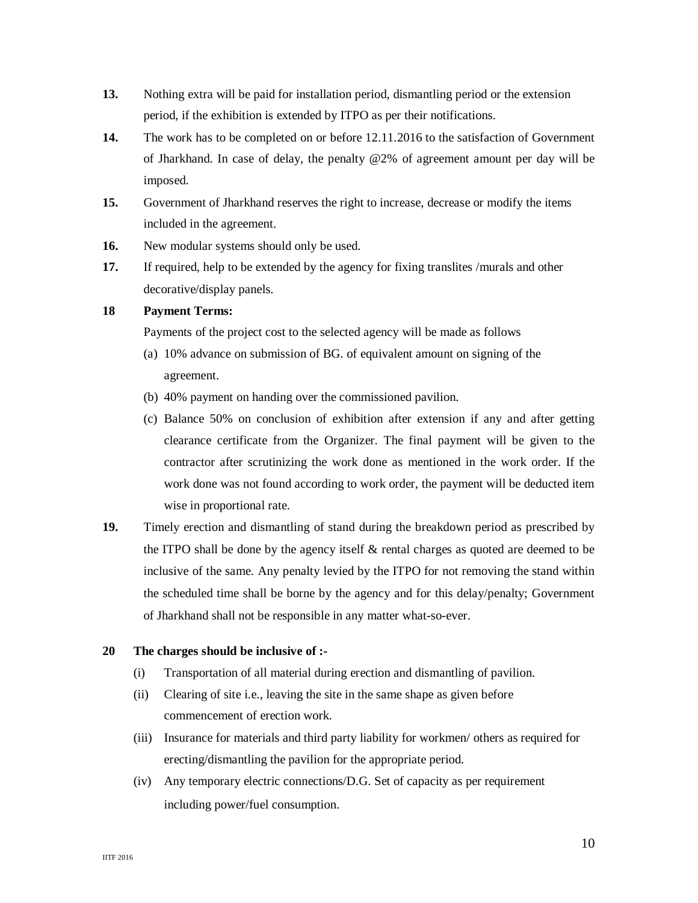- **13.** Nothing extra will be paid for installation period, dismantling period or the extension period, if the exhibition is extended by ITPO as per their notifications.
- **14.** The work has to be completed on or before 12.11.2016 to the satisfaction of Government of Jharkhand. In case of delay, the penalty @2% of agreement amount per day will be imposed.
- **15.** Government of Jharkhand reserves the right to increase, decrease or modify the items included in the agreement.
- **16.** New modular systems should only be used.
- **17.** If required, help to be extended by the agency for fixing translites /murals and other decorative/display panels.

## **18 Payment Terms:**

Payments of the project cost to the selected agency will be made as follows

- (a) 10% advance on submission of BG. of equivalent amount on signing of the agreement.
- (b) 40% payment on handing over the commissioned pavilion.
- (c) Balance 50% on conclusion of exhibition after extension if any and after getting clearance certificate from the Organizer. The final payment will be given to the contractor after scrutinizing the work done as mentioned in the work order. If the work done was not found according to work order, the payment will be deducted item wise in proportional rate.
- **19.** Timely erection and dismantling of stand during the breakdown period as prescribed by the ITPO shall be done by the agency itself  $\&$  rental charges as quoted are deemed to be inclusive of the same. Any penalty levied by the ITPO for not removing the stand within the scheduled time shall be borne by the agency and for this delay/penalty; Government of Jharkhand shall not be responsible in any matter what-so-ever.

#### **20 The charges should be inclusive of :-**

- (i) Transportation of all material during erection and dismantling of pavilion.
- (ii) Clearing of site i.e., leaving the site in the same shape as given before commencement of erection work.
- (iii) Insurance for materials and third party liability for workmen/ others as required for erecting/dismantling the pavilion for the appropriate period.
- (iv) Any temporary electric connections/D.G. Set of capacity as per requirement including power/fuel consumption.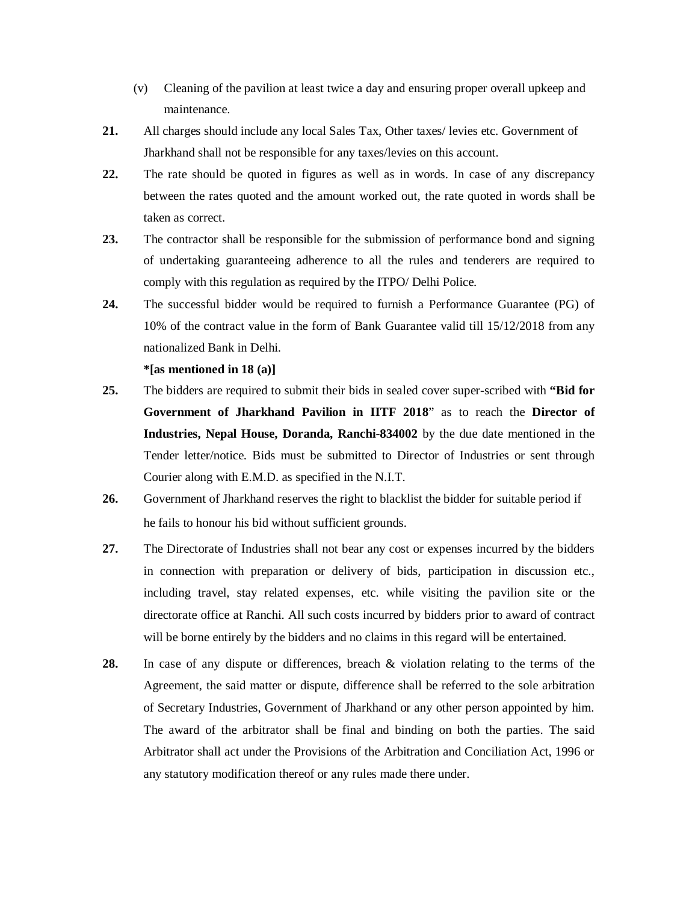- (v) Cleaning of the pavilion at least twice a day and ensuring proper overall upkeep and maintenance.
- **21.** All charges should include any local Sales Tax, Other taxes/ levies etc. Government of Jharkhand shall not be responsible for any taxes/levies on this account.
- **22.** The rate should be quoted in figures as well as in words. In case of any discrepancy between the rates quoted and the amount worked out, the rate quoted in words shall be taken as correct.
- **23.** The contractor shall be responsible for the submission of performance bond and signing of undertaking guaranteeing adherence to all the rules and tenderers are required to comply with this regulation as required by the ITPO/ Delhi Police.
- **24.** The successful bidder would be required to furnish a Performance Guarantee (PG) of 10% of the contract value in the form of Bank Guarantee valid till 15/12/2018 from any nationalized Bank in Delhi.

**\*[as mentioned in 18 (a)]**

- **25.** The bidders are required to submit their bids in sealed cover super-scribed with **"Bid for Government of Jharkhand Pavilion in IITF 2018**" as to reach the **Director of Industries, Nepal House, Doranda, Ranchi-834002** by the due date mentioned in the Tender letter/notice. Bids must be submitted to Director of Industries or sent through Courier along with E.M.D. as specified in the N.I.T.
- **26.** Government of Jharkhand reserves the right to blacklist the bidder for suitable period if he fails to honour his bid without sufficient grounds.
- **27.** The Directorate of Industries shall not bear any cost or expenses incurred by the bidders in connection with preparation or delivery of bids, participation in discussion etc., including travel, stay related expenses, etc. while visiting the pavilion site or the directorate office at Ranchi. All such costs incurred by bidders prior to award of contract will be borne entirely by the bidders and no claims in this regard will be entertained.
- **28.** In case of any dispute or differences, breach & violation relating to the terms of the Agreement, the said matter or dispute, difference shall be referred to the sole arbitration of Secretary Industries, Government of Jharkhand or any other person appointed by him. The award of the arbitrator shall be final and binding on both the parties. The said Arbitrator shall act under the Provisions of the Arbitration and Conciliation Act, 1996 or any statutory modification thereof or any rules made there under.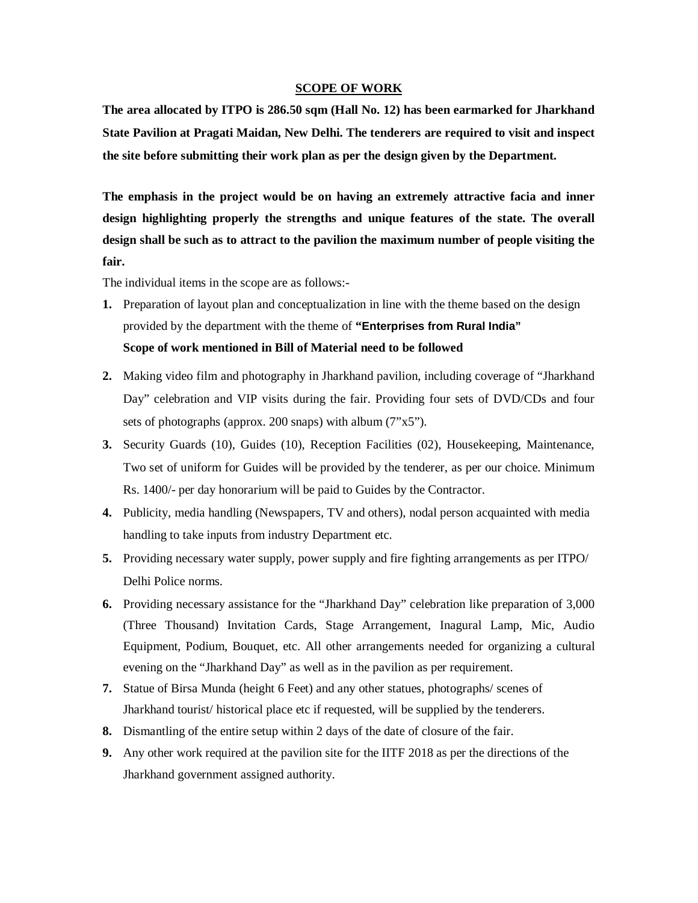## **SCOPE OF WORK**

**The area allocated by ITPO is 286.50 sqm (Hall No. 12) has been earmarked for Jharkhand State Pavilion at Pragati Maidan, New Delhi. The tenderers are required to visit and inspect the site before submitting their work plan as per the design given by the Department.**

**The emphasis in the project would be on having an extremely attractive facia and inner design highlighting properly the strengths and unique features of the state. The overall design shall be such as to attract to the pavilion the maximum number of people visiting the fair.**

The individual items in the scope are as follows:-

- **1.** Preparation of layout plan and conceptualization in line with the theme based on the design provided by the department with the theme of **"Enterprises from Rural India" Scope of work mentioned in Bill of Material need to be followed**
- **2.** Making video film and photography in Jharkhand pavilion, including coverage of "Jharkhand Day" celebration and VIP visits during the fair. Providing four sets of DVD/CDs and four sets of photographs (approx. 200 snaps) with album (7"x5").
- **3.** Security Guards (10), Guides (10), Reception Facilities (02), Housekeeping, Maintenance, Two set of uniform for Guides will be provided by the tenderer, as per our choice. Minimum Rs. 1400/- per day honorarium will be paid to Guides by the Contractor.
- **4.** Publicity, media handling (Newspapers, TV and others), nodal person acquainted with media handling to take inputs from industry Department etc.
- **5.** Providing necessary water supply, power supply and fire fighting arrangements as per ITPO/ Delhi Police norms.
- **6.** Providing necessary assistance for the "Jharkhand Day" celebration like preparation of 3,000 (Three Thousand) Invitation Cards, Stage Arrangement, Inagural Lamp, Mic, Audio Equipment, Podium, Bouquet, etc. All other arrangements needed for organizing a cultural evening on the "Jharkhand Day" as well as in the pavilion as per requirement.
- **7.** Statue of Birsa Munda (height 6 Feet) and any other statues, photographs/ scenes of Jharkhand tourist/ historical place etc if requested, will be supplied by the tenderers.
- **8.** Dismantling of the entire setup within 2 days of the date of closure of the fair.
- **9.** Any other work required at the pavilion site for the IITF 2018 as per the directions of the Jharkhand government assigned authority.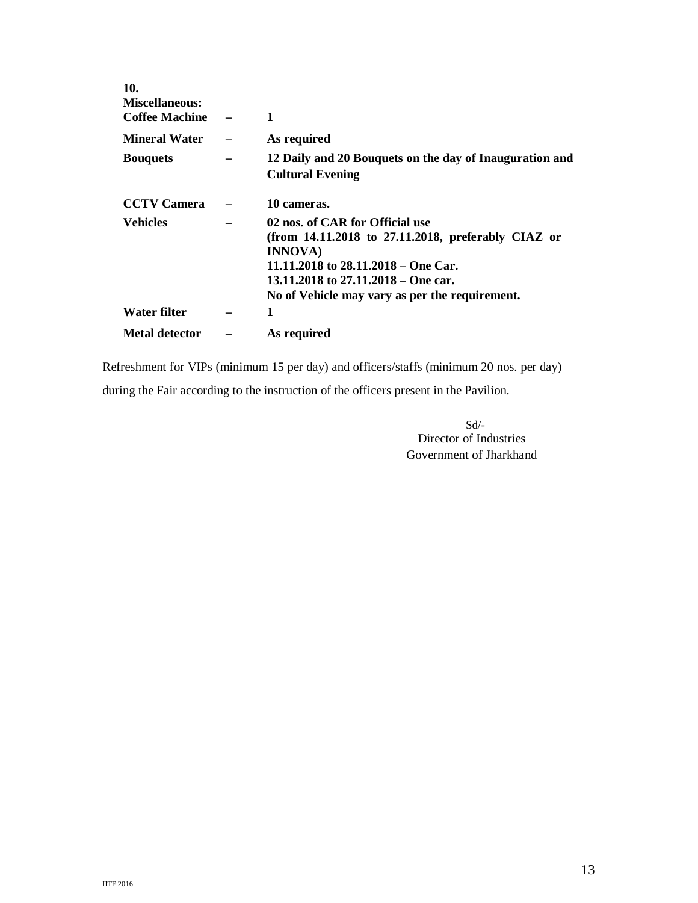| 1                                                       |
|---------------------------------------------------------|
| As required                                             |
| 12 Daily and 20 Bouquets on the day of Inauguration and |
| <b>Cultural Evening</b>                                 |
| 10 cameras.                                             |
| 02 nos. of CAR for Official use                         |
| (from $14.11.2018$ to $27.11.2018$ , preferably CIAZ or |
| <b>INNOVA</b> )                                         |
| 11.11.2018 to 28.11.2018 – One Car.                     |
| 13.11.2018 to $27.11.2018 -$ One car.                   |
| No of Vehicle may vary as per the requirement.          |
| 1                                                       |
| As required                                             |
|                                                         |

Refreshment for VIPs (minimum 15 per day) and officers/staffs (minimum 20 nos. per day) during the Fair according to the instruction of the officers present in the Pavilion.

> Sd/- Director of Industries Government of Jharkhand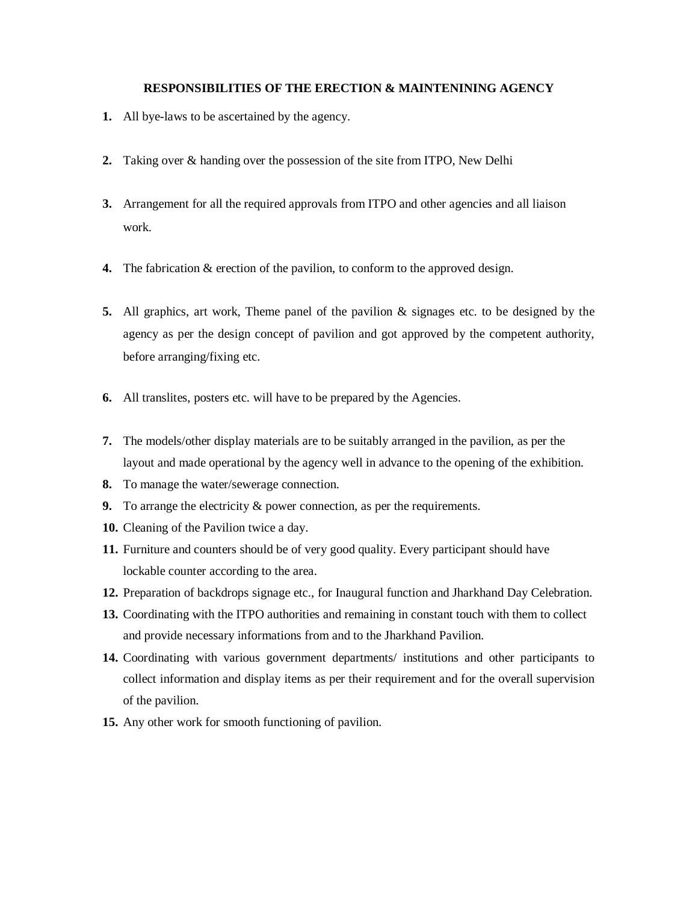## **RESPONSIBILITIES OF THE ERECTION & MAINTENINING AGENCY**

- **1.** All bye-laws to be ascertained by the agency.
- **2.** Taking over & handing over the possession of the site from ITPO, New Delhi
- **3.** Arrangement for all the required approvals from ITPO and other agencies and all liaison work.
- **4.** The fabrication & erection of the pavilion, to conform to the approved design.
- **5.** All graphics, art work, Theme panel of the pavilion & signages etc. to be designed by the agency as per the design concept of pavilion and got approved by the competent authority, before arranging/fixing etc.
- **6.** All translites, posters etc. will have to be prepared by the Agencies.
- **7.** The models/other display materials are to be suitably arranged in the pavilion, as per the layout and made operational by the agency well in advance to the opening of the exhibition.
- **8.** To manage the water/sewerage connection.
- **9.** To arrange the electricity & power connection, as per the requirements.
- **10.** Cleaning of the Pavilion twice a day.
- **11.** Furniture and counters should be of very good quality. Every participant should have lockable counter according to the area.
- **12.** Preparation of backdrops signage etc., for Inaugural function and Jharkhand Day Celebration.
- **13.** Coordinating with the ITPO authorities and remaining in constant touch with them to collect and provide necessary informations from and to the Jharkhand Pavilion.
- **14.** Coordinating with various government departments/ institutions and other participants to collect information and display items as per their requirement and for the overall supervision of the pavilion.
- **15.** Any other work for smooth functioning of pavilion.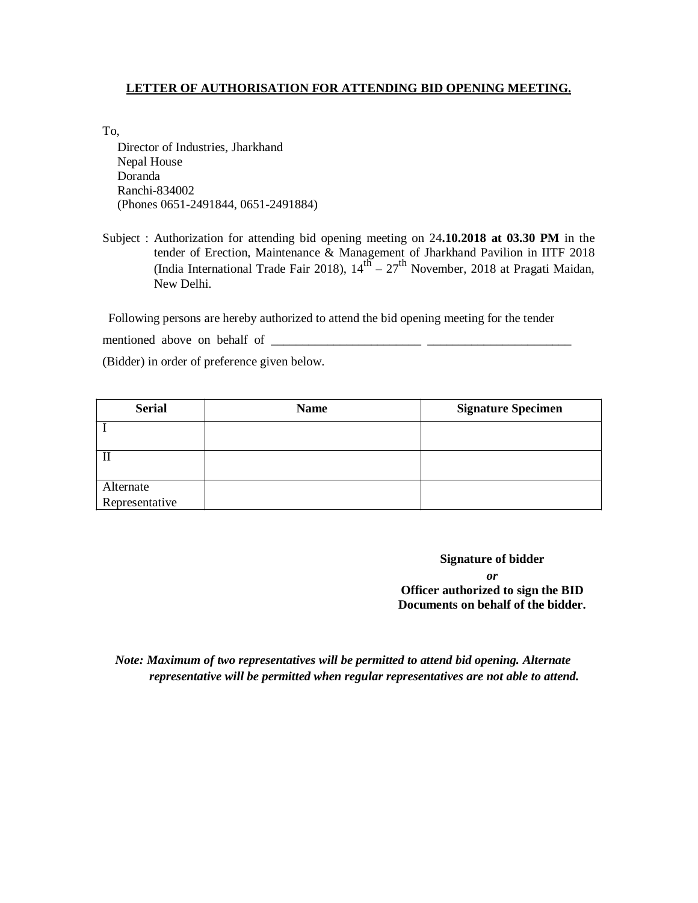## **LETTER OF AUTHORISATION FOR ATTENDING BID OPENING MEETING.**

To,

Director of Industries, Jharkhand Nepal House Doranda Ranchi-834002 (Phones 0651-2491844, 0651-2491884)

| Subject : Authorization for attending bid opening meeting on $24.10.2018$ at 03.30 PM in the |
|----------------------------------------------------------------------------------------------|
| tender of Erection, Maintenance & Management of Jharkhand Pavilion in IITF 2018              |
| (India International Trade Fair 2018), $14^{h} - 27^{h}$ November, 2018 at Pragati Maidan,   |
| New Delhi.                                                                                   |

Following persons are hereby authorized to attend the bid opening meeting for the tender

mentioned above on behalf of \_\_\_\_\_\_\_\_\_\_\_\_\_\_\_\_\_\_\_\_\_\_\_\_ \_\_\_\_\_\_\_\_\_\_\_\_\_\_\_\_\_\_\_\_\_\_\_

(Bidder) in order of preference given below.

| <b>Serial</b>  | <b>Name</b> | <b>Signature Specimen</b> |
|----------------|-------------|---------------------------|
|                |             |                           |
|                |             |                           |
| $\mathbf I$    |             |                           |
|                |             |                           |
| Alternate      |             |                           |
| Representative |             |                           |

**Signature of bidder** *or* **Officer authorized to sign the BID Documents on behalf of the bidder.**

*Note: Maximum of two representatives will be permitted to attend bid opening. Alternate representative will be permitted when regular representatives are not able to attend.*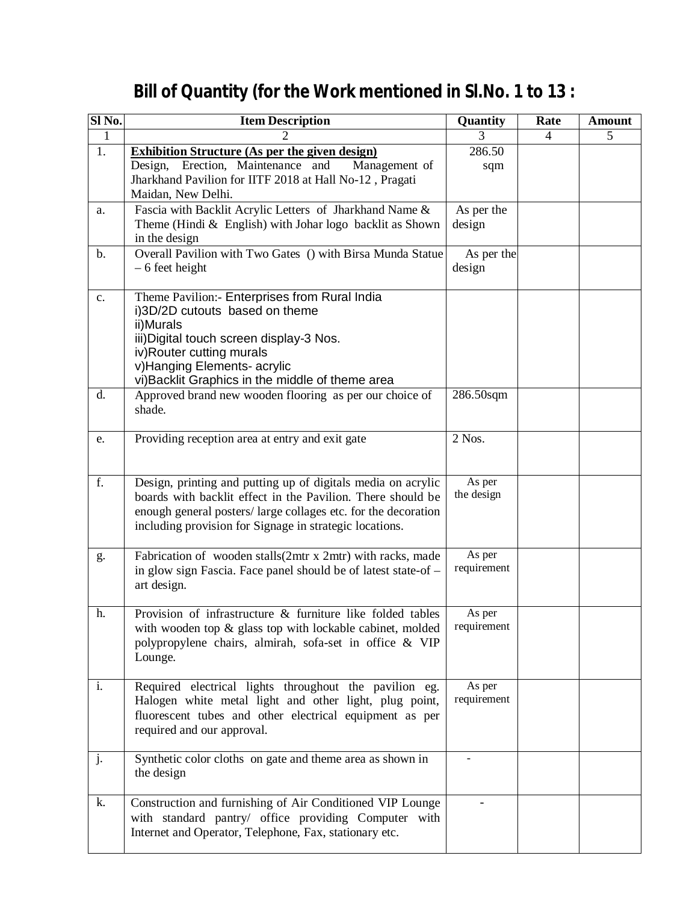| Sl <sub>No.</sub> | <b>Item Description</b>                                                                                                      | Quantity              | Rate           | Amount |
|-------------------|------------------------------------------------------------------------------------------------------------------------------|-----------------------|----------------|--------|
| $\mathbf{1}$      |                                                                                                                              | 3                     | $\overline{4}$ | 5      |
| 1.                | <b>Exhibition Structure (As per the given design)</b>                                                                        | 286.50                |                |        |
|                   | Erection, Maintenance and<br>Management of<br>Design,<br>Jharkhand Pavilion for IITF 2018 at Hall No-12, Pragati             | sqm                   |                |        |
|                   | Maidan, New Delhi.                                                                                                           |                       |                |        |
| a.                | Fascia with Backlit Acrylic Letters of Jharkhand Name &                                                                      | As per the            |                |        |
|                   | Theme (Hindi $&$ English) with Johar logo backlit as Shown                                                                   | design                |                |        |
|                   | in the design                                                                                                                |                       |                |        |
| b.                | Overall Pavilion with Two Gates () with Birsa Munda Statue                                                                   | As per the<br>design  |                |        |
|                   | $-6$ feet height                                                                                                             |                       |                |        |
| c.                | Theme Pavilion:- Enterprises from Rural India                                                                                |                       |                |        |
|                   | i)3D/2D cutouts based on theme                                                                                               |                       |                |        |
|                   | ii)Murals<br>iii) Digital touch screen display-3 Nos.                                                                        |                       |                |        |
|                   | iv)Router cutting murals                                                                                                     |                       |                |        |
|                   | v) Hanging Elements- acrylic                                                                                                 |                       |                |        |
|                   | vi) Backlit Graphics in the middle of theme area                                                                             |                       |                |        |
| d.                | Approved brand new wooden flooring as per our choice of                                                                      | 286.50sqm             |                |        |
|                   | shade.                                                                                                                       |                       |                |        |
| e.                | Providing reception area at entry and exit gate                                                                              | 2 Nos.                |                |        |
|                   |                                                                                                                              |                       |                |        |
|                   |                                                                                                                              |                       |                |        |
| f.                | Design, printing and putting up of digitals media on acrylic<br>boards with backlit effect in the Pavilion. There should be  | As per<br>the design  |                |        |
|                   | enough general posters/large collages etc. for the decoration                                                                |                       |                |        |
|                   | including provision for Signage in strategic locations.                                                                      |                       |                |        |
|                   |                                                                                                                              |                       |                |        |
| g.                | Fabrication of wooden stalls(2mtr x 2mtr) with racks, made<br>in glow sign Fascia. Face panel should be of latest state-of – | As per<br>requirement |                |        |
|                   | art design.                                                                                                                  |                       |                |        |
|                   |                                                                                                                              |                       |                |        |
| h.                | Provision of infrastructure & furniture like folded tables                                                                   | As per                |                |        |
|                   | with wooden top & glass top with lockable cabinet, molded<br>polypropylene chairs, almirah, sofa-set in office & VIP         | requirement           |                |        |
|                   | Lounge.                                                                                                                      |                       |                |        |
|                   |                                                                                                                              |                       |                |        |
| i.                | Required electrical lights throughout the pavilion eg.                                                                       | As per                |                |        |
|                   | Halogen white metal light and other light, plug point,                                                                       | requirement           |                |        |
|                   | fluorescent tubes and other electrical equipment as per<br>required and our approval.                                        |                       |                |        |
|                   |                                                                                                                              |                       |                |        |
| j.                | Synthetic color cloths on gate and theme area as shown in                                                                    |                       |                |        |
|                   | the design                                                                                                                   |                       |                |        |
| k.                | Construction and furnishing of Air Conditioned VIP Lounge                                                                    |                       |                |        |
|                   | with standard pantry/ office providing Computer with                                                                         |                       |                |        |
|                   | Internet and Operator, Telephone, Fax, stationary etc.                                                                       |                       |                |        |
|                   |                                                                                                                              |                       |                |        |

# **Bill of Quantity (for the Work mentioned in Sl.No. 1 to 13 :**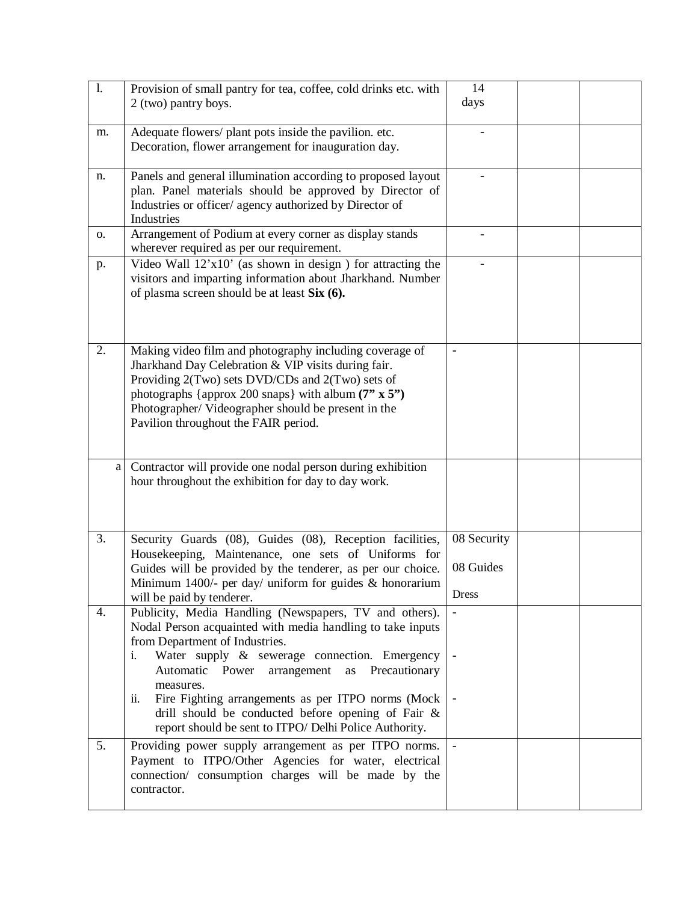| 1.               | Provision of small pantry for tea, coffee, cold drinks etc. with<br>2 (two) pantry boys.                                                                                                                                                                                                                                                                                                                                                                   | 14<br>days                               |  |
|------------------|------------------------------------------------------------------------------------------------------------------------------------------------------------------------------------------------------------------------------------------------------------------------------------------------------------------------------------------------------------------------------------------------------------------------------------------------------------|------------------------------------------|--|
| m.               | Adequate flowers/ plant pots inside the pavilion. etc.<br>Decoration, flower arrangement for inauguration day.                                                                                                                                                                                                                                                                                                                                             |                                          |  |
| n.               | Panels and general illumination according to proposed layout<br>plan. Panel materials should be approved by Director of<br>Industries or officer/ agency authorized by Director of<br>Industries                                                                                                                                                                                                                                                           |                                          |  |
| 0.               | Arrangement of Podium at every corner as display stands<br>wherever required as per our requirement.                                                                                                                                                                                                                                                                                                                                                       |                                          |  |
| p.               | Video Wall $12x10'$ (as shown in design) for attracting the<br>visitors and imparting information about Jharkhand. Number<br>of plasma screen should be at least Six (6).                                                                                                                                                                                                                                                                                  |                                          |  |
| $\overline{2}$ . | Making video film and photography including coverage of<br>Jharkhand Day Celebration & VIP visits during fair.<br>Providing 2(Two) sets DVD/CDs and 2(Two) sets of<br>photographs {approx 200 snaps} with album $(7" \times 5")$<br>Photographer/Videographer should be present in the<br>Pavilion throughout the FAIR period.                                                                                                                             |                                          |  |
| a                | Contractor will provide one nodal person during exhibition<br>hour throughout the exhibition for day to day work.                                                                                                                                                                                                                                                                                                                                          |                                          |  |
| 3.               | Security Guards (08), Guides (08), Reception facilities,<br>Housekeeping, Maintenance, one sets of Uniforms for<br>Guides will be provided by the tenderer, as per our choice.<br>Minimum 1400/- per day/ uniform for guides $&$ honorarium<br>will be paid by tenderer.                                                                                                                                                                                   | 08 Security<br>08 Guides<br><b>Dress</b> |  |
| 4.               | Publicity, Media Handling (Newspapers, TV and others).<br>Nodal Person acquainted with media handling to take inputs<br>from Department of Industries.<br>Water supply & sewerage connection. Emergency<br>i.<br>Automatic Power arrangement as<br>Precautionary<br>measures.<br>Fire Fighting arrangements as per ITPO norms (Mock<br>ii.<br>drill should be conducted before opening of Fair &<br>report should be sent to ITPO/ Delhi Police Authority. | $\qquad \qquad \blacksquare$             |  |
| 5.               | Providing power supply arrangement as per ITPO norms.<br>Payment to ITPO/Other Agencies for water, electrical<br>connection/ consumption charges will be made by the<br>contractor.                                                                                                                                                                                                                                                                        | $\overline{\phantom{a}}$                 |  |